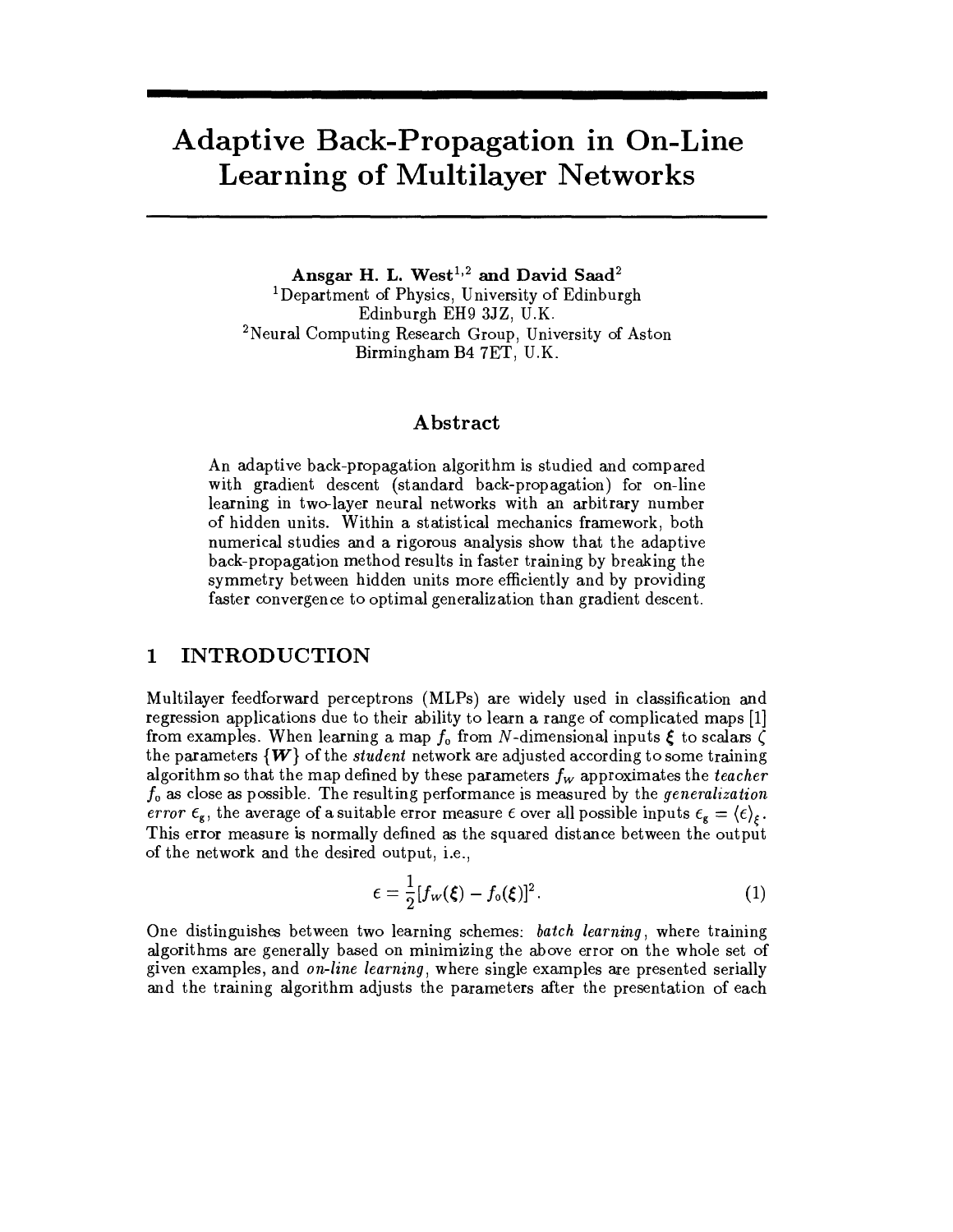# **Adaptive Back-Propagation in On-Line Learning of Multilayer Networks**

Ansgar H. L. West<sup>1,2</sup> and David Saad<sup>2</sup> <sup>1</sup>Department of Physics, University of Edinburgh Edinburgh EH9 3JZ, U.K. <sup>2</sup>Neural Computing Research Group, University of Aston Birmingham B4 7ET, U.K.

# Abstract

An adaptive back-propagation algorithm is studied and compared with gradient descent (standard back-propagation) for on-line learning in two-layer neural networks with an arbitrary number of hidden units. Within a statistical mechanics framework, both numerical studies and a rigorous analysis show that the adaptive back-propagation method results in faster training by breaking the symmetry between hidden units more efficiently and by providing faster convergence to optimal generalization than gradient descent.

## **INTRODUCTION** 1

Multilayer feedforward perceptrons (MLPs) are widely used in classification and regression applications due to their ability to learn a range of complicated maps [1] from examples. When learning a map  $f_0$  from N-dimensional inputs  $\xi$  to scalars  $\zeta$ the parameters  $\{W\}$  of the *student* network are adjusted according to some training algorithm so that the map defined by these parameters  $f_w$  approximates the teacher  $f_0$  as close as possible. The resulting performance is measured by the generalization error  $\epsilon_{g}$ , the average of a suitable error measure  $\epsilon$  over all possible inputs  $\epsilon_{g} = \langle \epsilon \rangle_{\epsilon}$ . This error measure is normally defined as the squared distance between the output of the network and the desired output, i.e.,

$$
\epsilon = \frac{1}{2} [f_w(\boldsymbol{\xi}) - f_o(\boldsymbol{\xi})]^2. \tag{1}
$$

One distinguishes between two learning schemes: batch learning, where training algorithms are generally based on minimizing the above error on the whole set of given examples, and on-line learning, where single examples are presented serially and the training algorithm adjusts the parameters after the presentation of each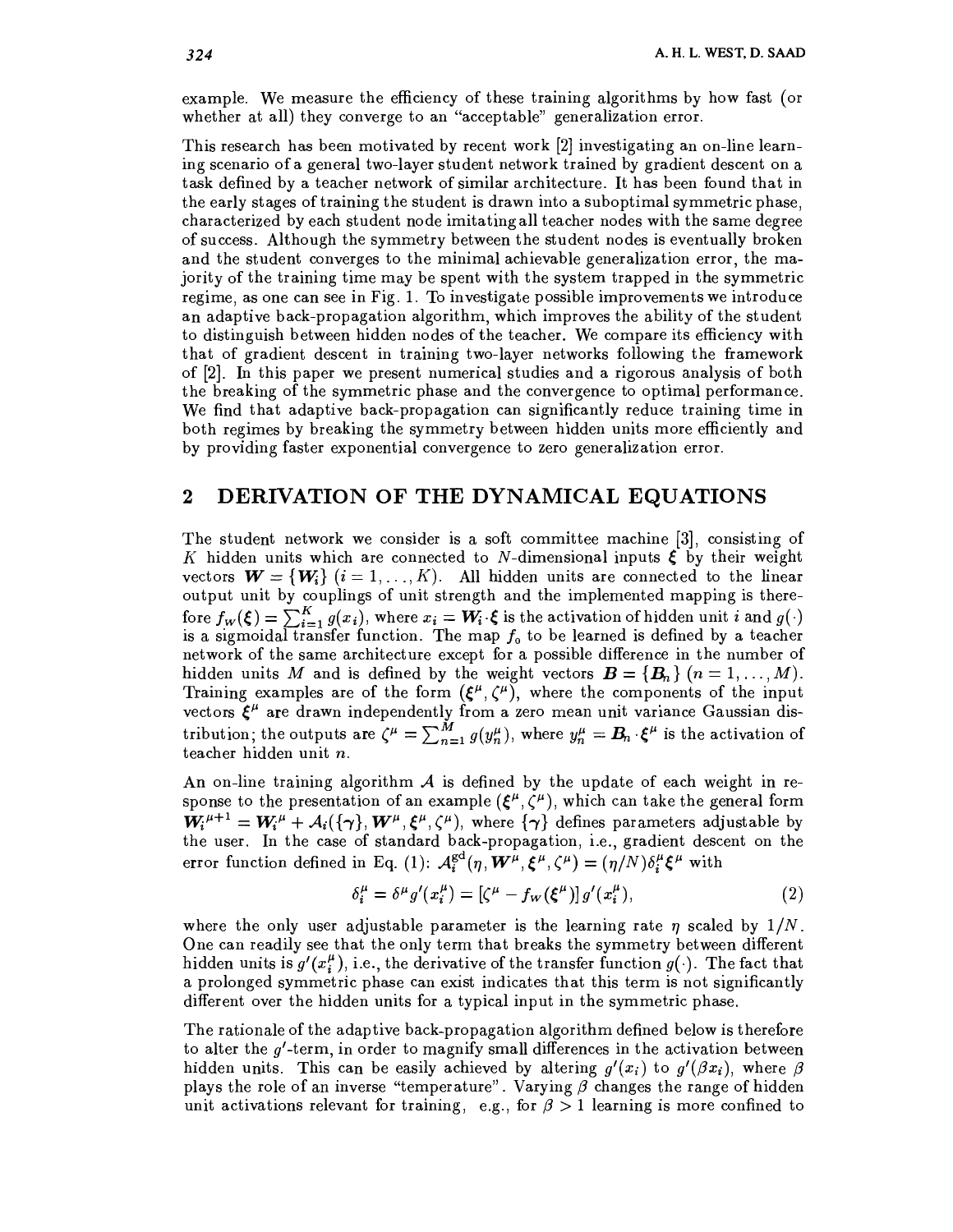example. We measure the efficiency of these training algorithms by how fast (or whether at all) they converge to an "acceptable" generalization error.

This research has been motivated by recent work [2] investigating an on-line learning scenario of a general two-layer student network trained by gradient descent on a task defined by a teacher network of similar architecture. It has been found that in the early stages of training the student is drawn into a suboptimal symmetric phase, characterized by each student node imitating all teacher nodes with the same degree of success. Although the symmetry between the student nodes is eventually broken and the student converges to the minimal achievable generalization error, the majority of the training time may be spent with the system trapped in the symmetric regime, as one can see in Fig. 1. To investigate possible improvements we introduce an adaptive back-propagation algorithm, which improves the ability of the student to distinguish between hidden nodes of the teacher. We compare its efficiency with that of gradient descent in training two-layer networks following the framework of [2]. In this paper we present numerical studies and a rigorous analysis of both the breaking of the symmetric phase and the convergence to optimal performance. We find that adaptive back-propagation can significantly reduce training time in both regimes by breaking the symmetry between hidden units more efficiently and by providing faster exponential convergence to zero generalization error.

#### DERIVATION OF THE DYNAMICAL EQUATIONS  $\boldsymbol{2}$

The student network we consider is a soft committee machine [3], consisting of K hidden units which are connected to N-dimensional inputs  $\xi$  by their weight vectors  $\mathbf{W} = \{W_i\}$   $(i = 1, ..., K)$ . All hidden units are connected to the linear output unit by couplings of unit strength and the implemented mapping is therefore  $f_w(\xi) = \sum_{i=1}^{K} g(x_i)$ , where  $x_i = W_i \xi$  is the activation of hidden unit *i* and  $g(\cdot)$  is a sigmoidal transfer function. The map  $f_0$  to be learned is defined by a teacher network of the same architecture except for a possible difference in the number of hidden units M and is defined by the weight vectors  $\mathbf{B} = \{B_n\}$   $(n = 1, ..., M)$ . Training examples are of the form  $(\xi^{\mu}, \zeta^{\mu})$ , where the components of the input<br>vectors  $\xi^{\mu}$  are drawn independently from a zero mean unit variance Gaussian dis-<br>tribution; the outputs are  $\zeta^{\mu} = \sum_{n=1}^{M} g(y_n^$ teacher hidden unit n.

An on-line training algorithm  $A$  is defined by the update of each weight in response to the presentation of an example  $(\xi^{\mu}, \zeta^{\mu})$ , which can take the general form  $W_i^{\mu+1} = W_i^{\mu} + A_i(\{\gamma\}, W^{\mu}, \xi^{\mu}, \zeta^{\mu})$ , where  $\{\gamma\}$  defines parameters adjustable by<br>the user. In the case of standard back-propagation, i.e., gradient descent on the error function defined in Eq. (1):  $\mathcal{A}_i^{\text{gd}}(\eta, \boldsymbol{W}^{\mu}, \boldsymbol{\xi}^{\mu}, \zeta^{\mu}) = (\eta/N) \delta_i^{\mu} \boldsymbol{\xi}^{\mu}$  with

$$
\delta_i^{\mu} = \delta^{\mu} g'(x_i^{\mu}) = \left[\zeta^{\mu} - f_W(\xi^{\mu})\right] g'(x_i^{\mu}),\tag{2}
$$

where the only user adjustable parameter is the learning rate  $\eta$  scaled by  $1/N$ . One can readily see that the only term that breaks the symmetry between different hidden units is  $g'(x_i^{\mu})$ , i.e., the derivative of the transfer function  $g(\cdot)$ . The fact that a prolonged symmetric phase can exist indicates that this term is not significantly different over the hidden units for a typical input in the symmetric phase.

The rationale of the adaptive back-propagation algorithm defined below is therefore to alter the  $g'$ -term, in order to magnify small differences in the activation between hidden units. This can be easily achieved by altering  $g'(x_i)$  to  $g'(\beta x_i)$ , where  $\beta$ plays the role of an inverse "temperature". Varying  $\beta$  changes the range of hidden unit activations relevant for training, e.g., for  $\beta > 1$  learning is more confined to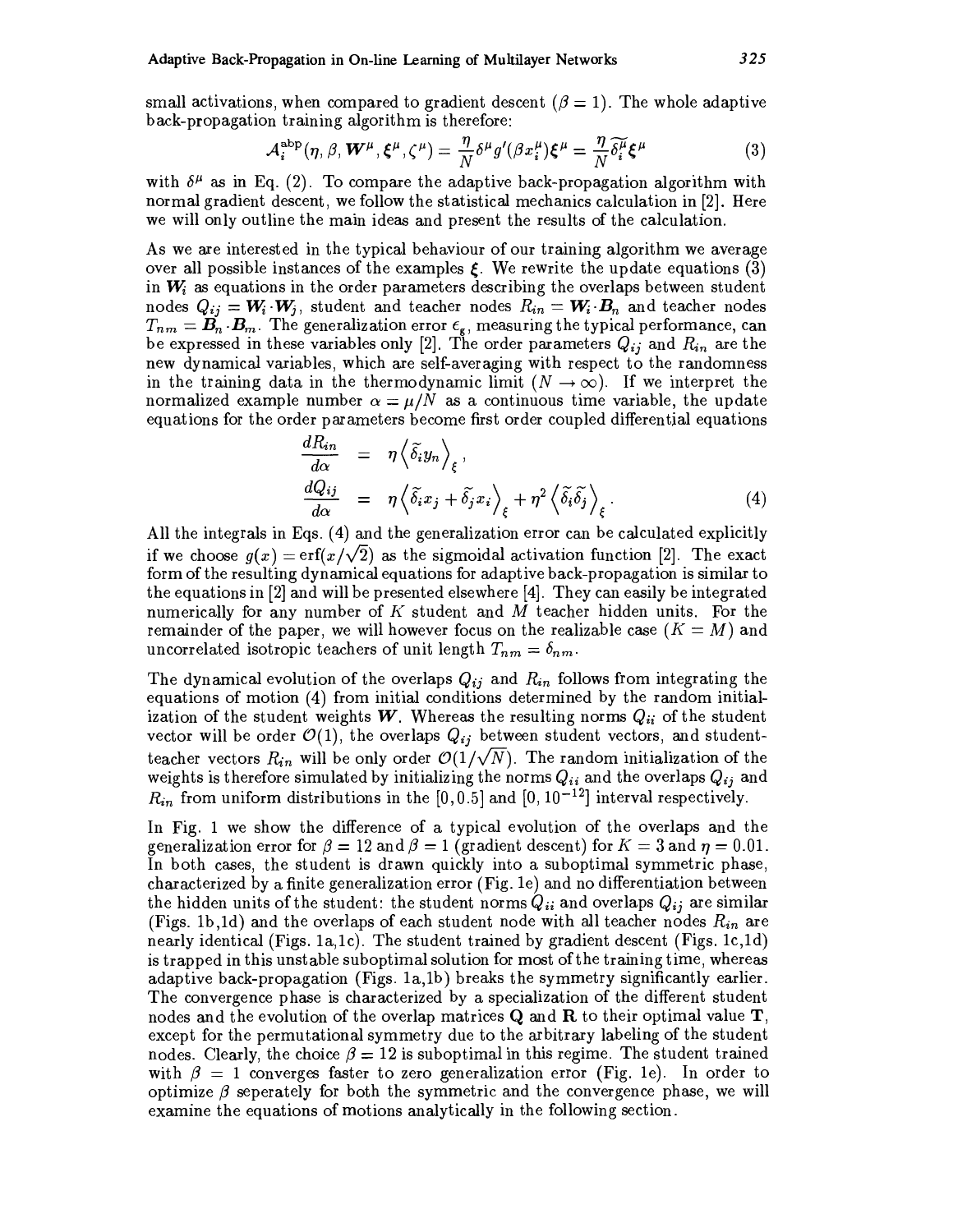small activations, when compared to gradient descent ( $\beta = 1$ ). The whole adaptive back-propagation training algorithm is therefore:

$$
\mathcal{A}_i^{\text{abp}}(\eta, \beta, \boldsymbol{W}^{\mu}, \boldsymbol{\xi}^{\mu}, \zeta^{\mu}) = \frac{\eta}{N} \delta^{\mu} g'(\beta x_i^{\mu}) \boldsymbol{\xi}^{\mu} = \frac{\eta}{N} \widetilde{\delta}_i^{\mu} \boldsymbol{\xi}^{\mu}
$$
(3)

with  $\delta^{\mu}$  as in Eq. (2). To compare the adaptive back-propagation algorithm with normal gradient descent, we follow the statistical mechanics calculation in [2]. Here we will only outline the main ideas and present the results of the calculation.

As we are interested in the typical behaviour of our training algorithm we average over all possible instances of the examples  $\xi$ . We rewrite the update equations (3) in  $W_i$  as equations in the order parameters describing the overlaps between student nodes  $Q_{ij} = W_i \cdot W_j$ , student and teacher nodes  $R_{in} = W_i \cdot B_n$  and teacher nodes  $T_{nm} = \mathbf{B}_n \cdot \mathbf{B}_m$ . The generalization error  $\epsilon_{\mathbf{g}}$ , measuring the typical performance, can be expressed in these variables only [2]. The order parameters  $Q_{ij}$  and  $R_{in}$  are the new dynamical variables, which are self-averaging with respect to the randomness in the training data in the thermodynamic limit  $(N \to \infty)$ . If we interpret the normalized example number  $\alpha = \mu/N$  as a continuous time variable, the update equations for the order parameters become first order coupled differential equations

$$
\frac{dR_{in}}{d\alpha} = \eta \left\langle \tilde{\delta}_i y_n \right\rangle_{\xi}, \n\frac{dQ_{ij}}{d\alpha} = \eta \left\langle \tilde{\delta}_i x_j + \tilde{\delta}_j x_i \right\rangle_{\xi} + \eta^2 \left\langle \tilde{\delta}_i \tilde{\delta}_j \right\rangle_{\xi}.
$$
\n(4)

All the integrals in Eqs. (4) and the generalization error can be calculated explicitly if we choose  $g(x) = erf(x/\sqrt{2})$  as the sigmoidal activation function [2]. The exact form of the resulting dynamical equations for adaptive back-propagation is similar to the equations in  $[2]$  and will be presented elsewhere  $[4]$ . They can easily be integrated numerically for any number of K student and M teacher hidden units. For the remainder of the paper, we will however focus on the realizable case  $(K = M)$  and uncorrelated isotropic teachers of unit length  $T_{nm} = \delta_{nm}$ .

The dynamical evolution of the overlaps  $Q_{ij}$  and  $R_{in}$  follows from integrating the equations of motion (4) from initial conditions determined by the random initialization of the student weights W. Whereas the resulting norms  $Q_{ii}$  of the student vector will be order  $\mathcal{O}(1)$ , the overlaps  $Q_{ij}$  between student vectors, and studentteacher vectors  $R_{in}$  will be only order  $\mathcal{O}(1/\sqrt{N})$ . The random initialization of the weights is therefore simulated by initializing the norms  $Q_{ii}$  and the overlaps  $Q_{ij}$  and  $R_{in}$  from uniform distributions in the [0, 0.5] and [0, 10<sup>-12</sup>] interval respectively.

In Fig. 1 we show the difference of a typical evolution of the overlaps and the generalization error for  $\beta = 12$  and  $\beta = 1$  (gradient descent) for  $K = 3$  and  $\eta = 0.01$ . In both cases, the student is drawn quickly into a suboptimal symmetric phase, characterized by a finite generalization error (Fig. 1e) and no differentiation between the hidden units of the student: the student norms  $Q_{ii}$  and overlaps  $Q_{ij}$  are similar (Figs. 1b,1d) and the overlaps of each student node with all teacher nodes  $R_{in}$  are nearly identical (Figs. 1a,1c). The student trained by gradient descent (Figs. 1c,1d) is trapped in this unstable suboptimal solution for most of the training time, whereas adaptive back-propagation (Figs. 1a,1b) breaks the symmetry significantly earlier. The convergence phase is characterized by a specialization of the different student nodes and the evolution of the overlap matrices **Q** and **R** to their optimal value **T**, except for the permutational symmetry due to the arbitrary labeling of the student nodes. Clearly, the choice  $\beta = 12$  is suboptimal in this regime. The student trained with  $\beta = 1$  converges faster to zero generalization error (Fig. 1e). In order to optimize  $\beta$  seperately for both the symmetric and the convergence phase, we will examine the equations of motions analytically in the following section.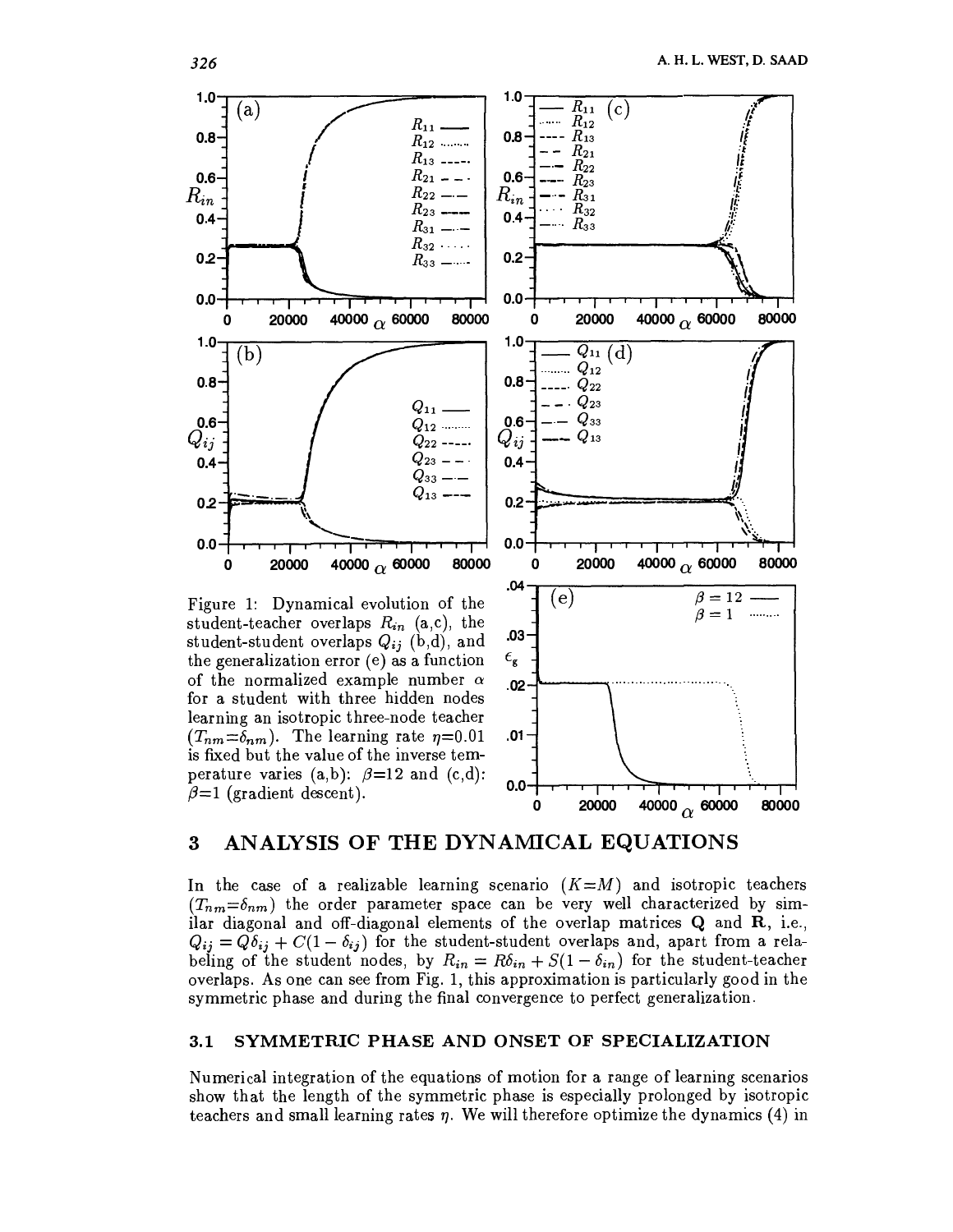

the generalization error (e) as a function of the normalized example number  $\alpha$ for a student with three hidden nodes learning an isotropic three-node teacher  $(T_{nm}=\delta_{nm})$ . The learning rate  $\eta=0.01$ is fixed but the value of the inverse temperature varies (a,b):  $\beta=12$  and (c,d):  $\beta=1$  (gradient descent).



#### ANALYSIS OF THE DYNAMICAL EQUATIONS  $\bf{3}$

In the case of a realizable learning scenario  $(K=M)$  and isotropic teachers  $(T_{nm} = \delta_{nm})$  the order parameter space can be very well characterized by similar diagonal and off-diagonal elements of the overlap matrices Q and R, i.e.,  $Q_{ij} = Q\delta_{ij} + C(1-\delta_{ij})$  for the student-student overlaps and, apart from a relabeling of the student nodes, by  $R_{in} = R\delta_{in} + S(1 - \delta_{in})$  for the student-teacher overlaps. As one can see from Fig. 1, this approximation is particularly good in the symmetric phase and during the final convergence to perfect generalization.

#### $3.1$ SYMMETRIC PHASE AND ONSET OF SPECIALIZATION

Numerical integration of the equations of motion for a range of learning scenarios show that the length of the symmetric phase is especially prolonged by isotropic teachers and small learning rates  $\eta$ . We will therefore optimize the dynamics (4) in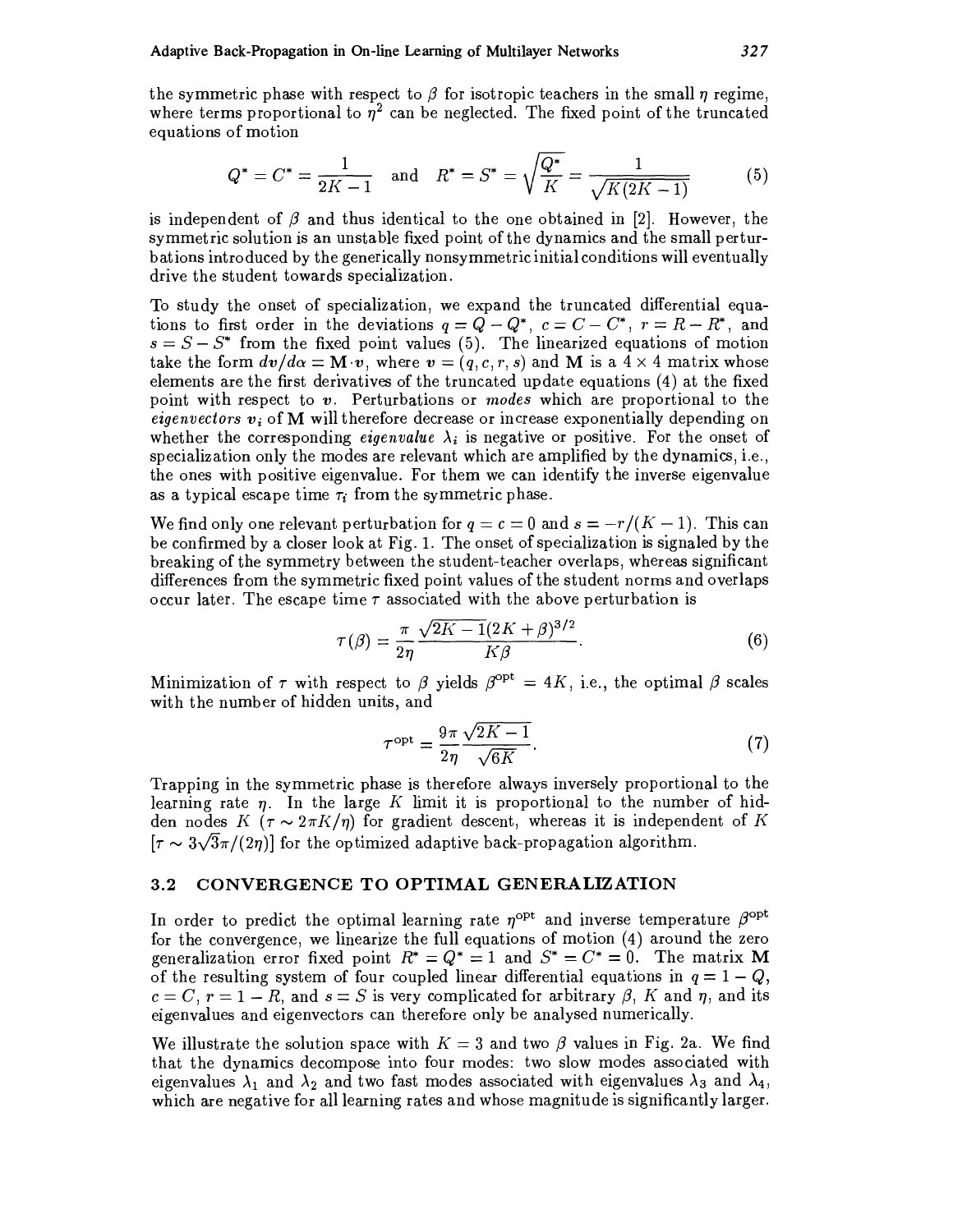the symmetric phase with respect to  $\beta$  for isotropic teachers in the small  $\eta$  regime, where terms proportional to  $\eta^2$  can be neglected. The fixed point of the truncated equations of motion

$$
Q^* = C^* = \frac{1}{2K - 1} \quad \text{and} \quad R^* = S^* = \sqrt{\frac{Q^*}{K}} = \frac{1}{\sqrt{K(2K - 1)}} \tag{5}
$$

is independent of  $\beta$  and thus identical to the one obtained in [2]. However, the symmetric solution is an unstable fixed point of the dynamics and the small perturbations introduced by the generically nonsymmetric initial conditions will eventually drive the student towards specialization.

To study the onset of specialization, we expand the truncated differential equations to first order in the deviations  $q = Q - Q^*$ ,  $c = C - C^*$ ,  $r = R - R^*$ , and  $s = S - S^*$  from the fixed point values (5). The linearized equations of motion take the form  $dv/d\alpha = \mathbf{M} \cdot v$ , where  $v = (q, c, r, s)$  and M is a  $4 \times 4$  matrix whose elements are the first derivatives of the truncated update equations (4) at the fixed point with respect to v. Perturbations or modes which are proportional to the *eigenvectors*  $v_i$  of M will therefore decrease or increase exponentially depending on whether the corresponding *eigenvalue*  $\lambda_i$  is negative or positive. For the onset of specialization only the modes are relevant which are amplified by the dynamics, i.e., the ones with positive eigenvalue. For them we can identify the inverse eigenvalue as a typical escape time  $\tau_i$  from the symmetric phase.

We find only one relevant perturbation for  $q = c = 0$  and  $s = -r/(K - 1)$ . This can be confirmed by a closer look at Fig. 1. The onset of specialization is signaled by the breaking of the symmetry between the student-teacher overlaps, whereas significant differences from the symmetric fixed point values of the student norms and overlaps occur later. The escape time  $\tau$  associated with the above perturbation is

$$
\tau(\beta) = \frac{\pi}{2\eta} \frac{\sqrt{2K - 1}(2K + \beta)^{3/2}}{K\beta}.
$$
\n
$$
(6)
$$

Minimization of  $\tau$  with respect to  $\beta$  yields  $\beta^{\text{opt}} = 4K$ , i.e., the optimal  $\beta$  scales with the number of hidden units, and

$$
\tau^{\rm opt} = \frac{9\pi}{2\eta} \frac{\sqrt{2K - 1}}{\sqrt{6K}}.\tag{7}
$$

Trapping in the symmetric phase is therefore always inversely proportional to the learning rate  $\eta$ . In the large K limit it is proportional to the number of hidden nodes K ( $\tau \sim 2\pi K/\eta$ ) for gradient descent, whereas it is independent of K  $[\tau \sim 3\sqrt{3}\pi/(2\eta)]$  for the optimized adaptive back-propagation algorithm.

#### CONVERGENCE TO OPTIMAL GENERALIZATION  $3.2$

In order to predict the optimal learning rate  $\eta^{\text{opt}}$  and inverse temperature  $\beta^{\text{opt}}$ for the convergence, we linearize the full equations of motion (4) around the zero generalization error fixed point  $R^* = Q^* = 1$  and  $S^* = C^* = 0$ . The matrix M of the resulting system of four coupled linear differential equations in  $q = 1 - Q$ ,  $c = C, r = 1 - R$ , and  $s = S$  is very complicated for arbitrary  $\beta$ , K and  $\eta$ , and its eigenvalues and eigenvectors can therefore only be analysed numerically.

We illustrate the solution space with  $K = 3$  and two  $\beta$  values in Fig. 2a. We find that the dynamics decompose into four modes: two slow modes associated with eigenvalues  $\lambda_1$  and  $\lambda_2$  and two fast modes associated with eigenvalues  $\lambda_3$  and  $\lambda_4$ , which are negative for all learning rates and whose magnitude is significantly larger.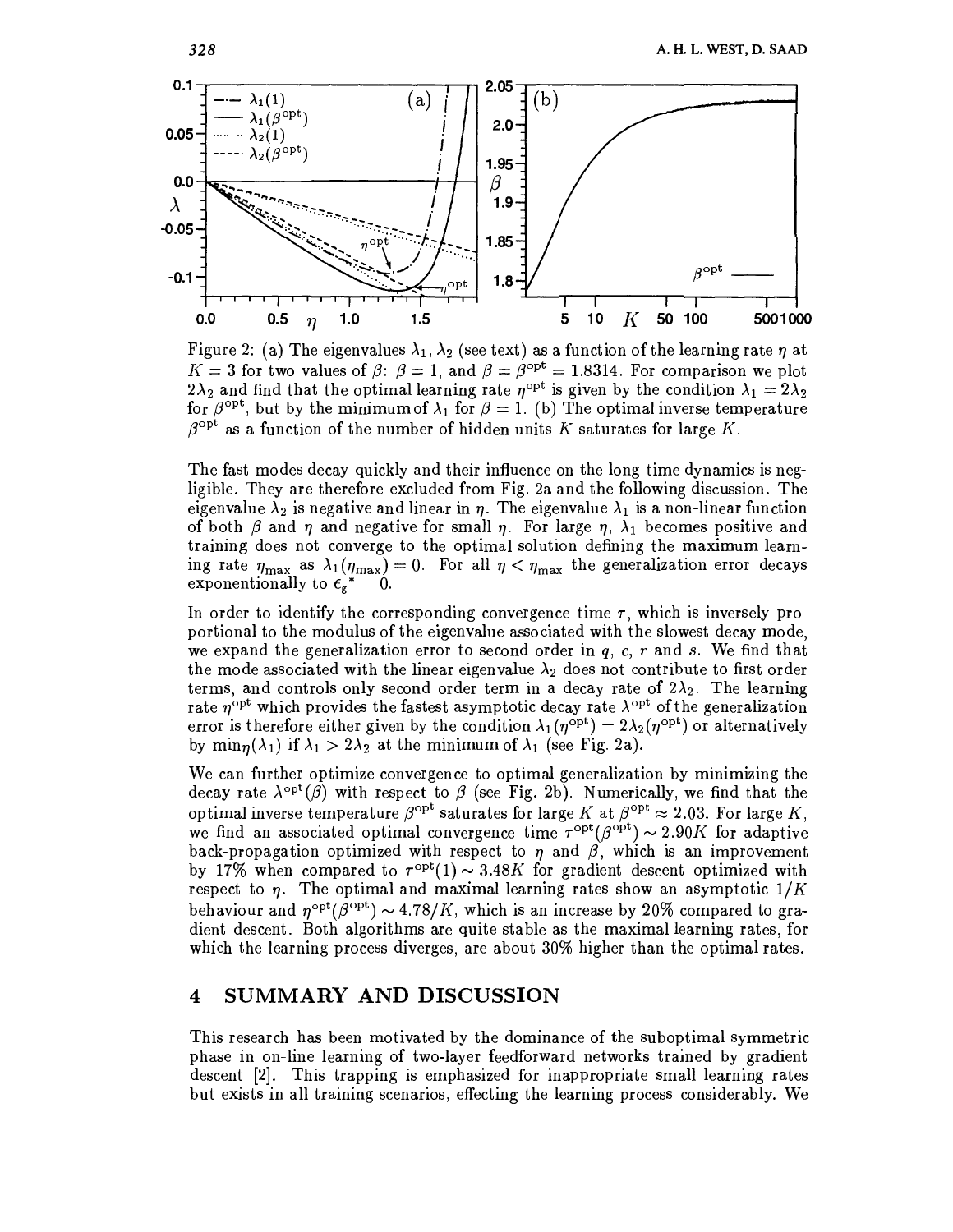

Figure 2: (a) The eigenvalues  $\lambda_1, \lambda_2$  (see text) as a function of the learning rate  $\eta$  at  $K = 3$  for two values of  $\beta$ :  $\beta = 1$ , and  $\beta = \beta^{\text{opt}} = 1.8314$ . For comparison we plot  $2\lambda_2$  and find that the optimal learning rate  $\eta^{\text{opt}}$  is given by the condition  $\lambda_1 = 2\lambda_2$ for  $\beta^{\text{opt}}$ , but by the minimum of  $\lambda_1$  for  $\beta = 1$ . (b) The optimal inverse temperature  $\beta^{\text{opt}}$  as a function of the number of hidden units K saturates for large K.

The fast modes decay quickly and their influence on the long-time dynamics is negligible. They are therefore excluded from Fig. 2a and the following discussion. The eigenvalue  $\lambda_2$  is negative and linear in  $\eta$ . The eigenvalue  $\lambda_1$  is a non-linear function of both  $\beta$  and  $\eta$  and negative for small  $\eta$ . For large  $\eta$ ,  $\lambda_1$  becomes positive and training does not converge to the optimal solution defining the maximum learning rate  $\eta_{\text{max}}$  as  $\lambda_1(\eta_{\text{max}})=0$ . For all  $\eta < \eta_{\text{max}}$  the generalization error decays exponentionally to  $\epsilon_{\mathbf{g}}^* = 0$ .

In order to identify the corresponding convergence time  $\tau$ , which is inversely proportional to the modulus of the eigenvalue associated with the slowest decay mode, we expand the generalization error to second order in  $q, c, r$  and s. We find that the mode associated with the linear eigenvalue  $\lambda_2$  does not contribute to first order terms, and controls only second order term in a decay rate of  $2\lambda_2$ . The learning rate  $\eta^{\text{opt}}$  which provides the fastest asymptotic decay rate  $\lambda^{\text{opt}}$  of the generalization error is therefore either given by the condition  $\lambda_1(\eta^{\text{opt}}) = 2\lambda_2(\eta^{\text{opt}})$  or alternatively by min<sub>n</sub>( $\lambda_1$ ) if  $\lambda_1 > 2\lambda_2$  at the minimum of  $\lambda_1$  (see Fig. 2a).

We can further optimize convergence to optimal generalization by minimizing the decay rate  $\lambda^{\text{opt}}(\beta)$  with respect to  $\beta$  (see Fig. 2b). Numerically, we find that the optimal inverse temperature  $\beta^{\text{opt}}$  saturates for large K at  $\beta^{\text{opt}} \approx 2.03$ . For large K, we find an associated optimal convergence time  $\tau^{\text{opt}}(\beta^{\text{opt}}) \sim 2.90K$  for adaptive back-propagation optimized with respect to  $\eta$  and  $\beta$ , which is an improvement by 17% when compared to  $\tau^{\text{opt}}(1) \sim 3.48K$  for gradient descent optimized with respect to  $\eta$ . The optimal and maximal learning rates show an asymptotic  $1/K$ behaviour and  $\eta^{\text{opt}}(\beta^{\text{opt}}) \sim 4.78/K$ , which is an increase by 20% compared to gradient descent. Both algorithms are quite stable as the maximal learning rates, for which the learning process diverges, are about 30% higher than the optimal rates.

## SUMMARY AND DISCUSSION 4

This research has been motivated by the dominance of the suboptimal symmetric phase in on-line learning of two-layer feedforward networks trained by gradient descent [2]. This trapping is emphasized for inappropriate small learning rates but exists in all training scenarios, effecting the learning process considerably. We